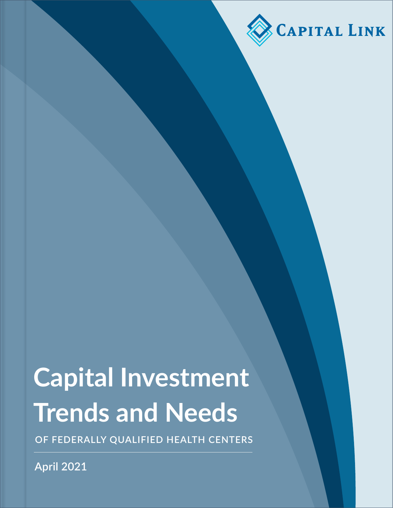

# **Capital Investment Trends and Needs**

**OF FEDERALLY QUALIFIED HEALTH CENTERS**

**April 2021**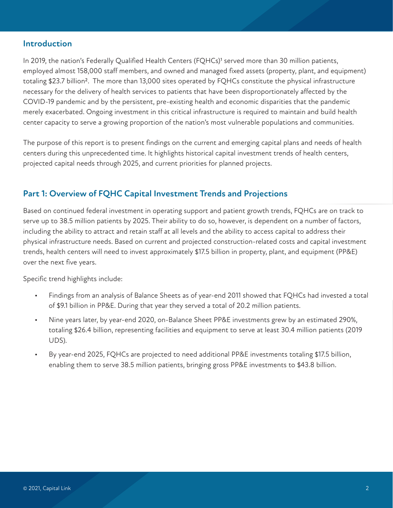### **Introduction**

In 2019, the nation's Federally Qualified Health Centers (FQHCs)<sup>1</sup> served more than 30 million patients, employed almost 158,000 staff members, and owned and managed fixed assets (property, plant, and equipment) totaling \$23.7 billion<sup>2</sup>. The more than 13,000 sites operated by FQHCs constitute the physical infrastructure necessary for the delivery of health services to patients that have been disproportionately affected by the COVID-19 pandemic and by the persistent, pre-existing health and economic disparities that the pandemic merely exacerbated. Ongoing investment in this critical infrastructure is required to maintain and build health center capacity to serve a growing proportion of the nation's most vulnerable populations and communities.

The purpose of this report is to present findings on the current and emerging capital plans and needs of health centers during this unprecedented time. It highlights historical capital investment trends of health centers, projected capital needs through 2025, and current priorities for planned projects.

# **Part 1: Overview of FQHC Capital Investment Trends and Projections**

Based on continued federal investment in operating support and patient growth trends, FQHCs are on track to serve up to 38.5 million patients by 2025. Their ability to do so, however, is dependent on a number of factors, including the ability to attract and retain staff at all levels and the ability to access capital to address their physical infrastructure needs. Based on current and projected construction-related costs and capital investment trends, health centers will need to invest approximately \$17.5 billion in property, plant, and equipment (PP&E) over the next five years.

Specific trend highlights include:

- Findings from an analysis of Balance Sheets as of year-end 2011 showed that FQHCs had invested a total of \$9.1 billion in PP&E. During that year they served a total of 20.2 million patients.
- Nine years later, by year-end 2020, on-Balance Sheet PP&E investments grew by an estimated 290%, totaling \$26.4 billion, representing facilities and equipment to serve at least 30.4 million patients (2019 UDS).
- By year-end 2025, FQHCs are projected to need additional PP&E investments totaling \$17.5 billion, enabling them to serve 38.5 million patients, bringing gross PP&E investments to \$43.8 billion.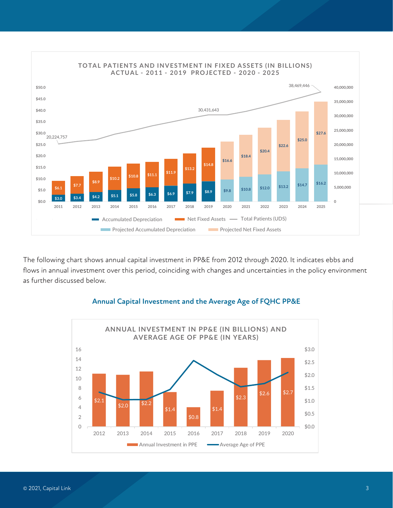

The following chart shows annual capital investment in PP&E from 2012 through 2020. It indicates ebbs and flows in annual investment over this period, coinciding with changes and uncertainties in the policy environment as further discussed below.



#### **Annual Capital Investment and the Average Age of FQHC PP&E**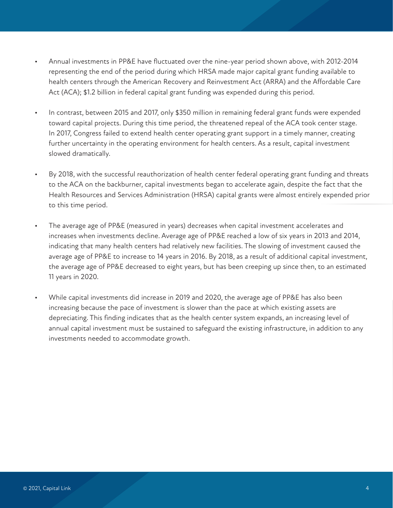- Annual investments in PP&E have fluctuated over the nine-year period shown above, with 2012-2014 representing the end of the period during which HRSA made major capital grant funding available to health centers through the American Recovery and Reinvestment Act (ARRA) and the Affordable Care Act (ACA); \$1.2 billion in federal capital grant funding was expended during this period.
- In contrast, between 2015 and 2017, only \$350 million in remaining federal grant funds were expended toward capital projects. During this time period, the threatened repeal of the ACA took center stage. In 2017, Congress failed to extend health center operating grant support in a timely manner, creating further uncertainty in the operating environment for health centers. As a result, capital investment slowed dramatically.
- By 2018, with the successful reauthorization of health center federal operating grant funding and threats to the ACA on the backburner, capital investments began to accelerate again, despite the fact that the Health Resources and Services Administration (HRSA) capital grants were almost entirely expended prior to this time period.
- The average age of PP&E (measured in years) decreases when capital investment accelerates and increases when investments decline. Average age of PP&E reached a low of six years in 2013 and 2014, indicating that many health centers had relatively new facilities. The slowing of investment caused the average age of PP&E to increase to 14 years in 2016. By 2018, as a result of additional capital investment, the average age of PP&E decreased to eight years, but has been creeping up since then, to an estimated 11 years in 2020.
- While capital investments did increase in 2019 and 2020, the average age of PP&E has also been increasing because the pace of investment is slower than the pace at which existing assets are depreciating. This finding indicates that as the health center system expands, an increasing level of annual capital investment must be sustained to safeguard the existing infrastructure, in addition to any investments needed to accommodate growth.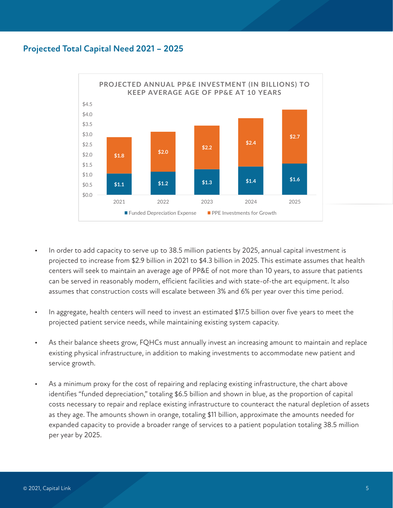### **Projected Total Capital Need 2021 – 2025**



- In order to add capacity to serve up to 38.5 million patients by 2025, annual capital investment is projected to increase from \$2.9 billion in 2021 to \$4.3 billion in 2025. This estimate assumes that health centers will seek to maintain an average age of PP&E of not more than 10 years, to assure that patients can be served in reasonably modern, efficient facilities and with state-of-the art equipment. It also assumes that construction costs will escalate between 3% and 6% per year over this time period.
- In aggregate, health centers will need to invest an estimated \$17.5 billion over five years to meet the projected patient service needs, while maintaining existing system capacity.
- As their balance sheets grow, FQHCs must annually invest an increasing amount to maintain and replace existing physical infrastructure, in addition to making investments to accommodate new patient and service growth.
- As a minimum proxy for the cost of repairing and replacing existing infrastructure, the chart above identifies "funded depreciation," totaling \$6.5 billion and shown in blue, as the proportion of capital costs necessary to repair and replace existing infrastructure to counteract the natural depletion of assets as they age. The amounts shown in orange, totaling \$11 billion, approximate the amounts needed for expanded capacity to provide a broader range of services to a patient population totaling 38.5 million per year by 2025.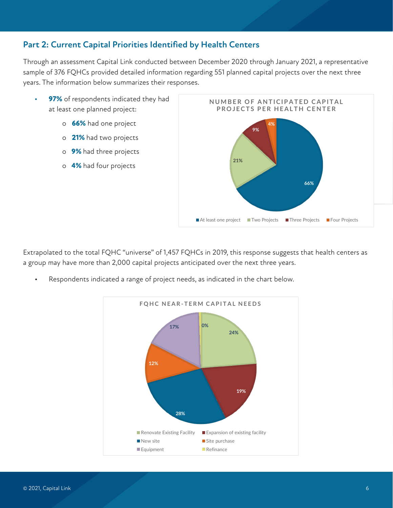# **Part 2: Current Capital Priorities Identified by Health Centers**

Through an assessment Capital Link conducted between December 2020 through January 2021, a representative sample of 376 FQHCs provided detailed information regarding 551 planned capital projects over the next three years. The information below summarizes their responses.

- **• 97%** of respondents indicated they had at least one planned project:
	- o **66%** had one project
	- o **21%** had two projects
	- o **9%** had three projects
	- o **4%** had four projects



Extrapolated to the total FQHC "universe" of 1,457 FQHCs in 2019, this response suggests that health centers as a group may have more than 2,000 capital projects anticipated over the next three years.

Respondents indicated a range of project needs, as indicated in the chart below.

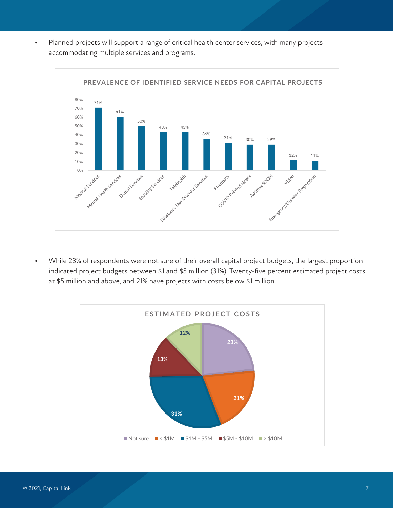• Planned projects will support a range of critical health center services, with many projects accommodating multiple services and programs.



• While 23% of respondents were not sure of their overall capital project budgets, the largest proportion indicated project budgets between \$1 and \$5 million (31%). Twenty-five percent estimated project costs at \$5 million and above, and 21% have projects with costs below \$1 million.

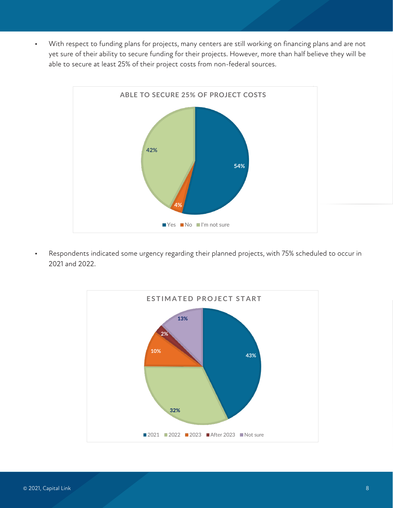• With respect to funding plans for projects, many centers are still working on financing plans and are not yet sure of their ability to secure funding for their projects. However, more than half believe they will be able to secure at least 25% of their project costs from non-federal sources.



• Respondents indicated some urgency regarding their planned projects, with 75% scheduled to occur in 2021 and 2022.

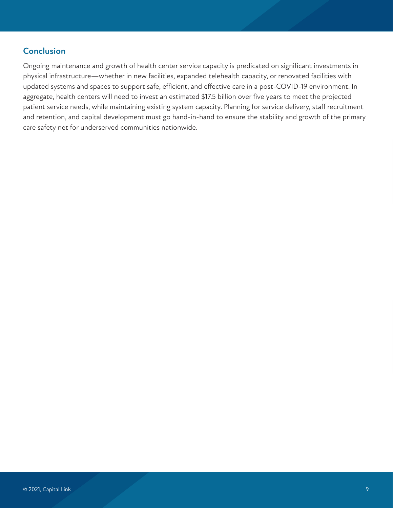# **Conclusion**

Ongoing maintenance and growth of health center service capacity is predicated on significant investments in physical infrastructure—whether in new facilities, expanded telehealth capacity, or renovated facilities with updated systems and spaces to support safe, efficient, and effective care in a post-COVID-19 environment. In aggregate, health centers will need to invest an estimated \$17.5 billion over five years to meet the projected patient service needs, while maintaining existing system capacity. Planning for service delivery, staff recruitment and retention, and capital development must go hand-in-hand to ensure the stability and growth of the primary care safety net for underserved communities nationwide.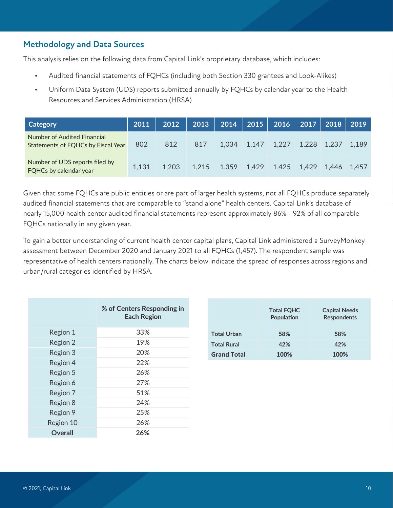# **Methodology and Data Sources**

This analysis relies on the following data from Capital Link's proprietary database, which includes:

- Audited financial statements of FQHCs (including both Section 330 grantees and Look-Alikes)
- Uniform Data System (UDS) reports submitted annually by FQHCs by calendar year to the Health Resources and Services Administration (HRSA)

| <b>Category</b>                                                   | 2011  | 2012  | $\vert$ 2013 $\vert$ | 2014   2015   2016   2017   2 <u>018   2019</u> |                               |  |       |
|-------------------------------------------------------------------|-------|-------|----------------------|-------------------------------------------------|-------------------------------|--|-------|
| Number of Audited Financial<br>Statements of FQHCs by Fiscal Year | 802   | 812   | 817                  |                                                 | 1,034 1,147 1,227 1,228 1,237 |  | 1,189 |
| Number of UDS reports filed by<br><b>FQHCs by calendar year</b>   | 1.131 | 1.203 | 1.215                | $1,359$ 1,429 1,425 1,429 1,446 1,457           |                               |  |       |

Given that some FQHCs are public entities or are part of larger health systems, not all FQHCs produce separately audited financial statements that are comparable to "stand alone" health centers. Capital Link's database of nearly 15,000 health center audited financial statements represent approximately 86% - 92% of all comparable FQHCs nationally in any given year.

To gain a better understanding of current health center capital plans, Capital Link administered a SurveyMonkey assessment between December 2020 and January 2021 to all FQHCs (1,457). The respondent sample was representative of health centers nationally. The charts below indicate the spread of responses across regions and urban/rural categories identified by HRSA.

|           | % of Centers Responding in<br><b>Each Region</b> |
|-----------|--------------------------------------------------|
| Region 1  | 33%                                              |
| Region 2  | 19%                                              |
| Region 3  | 20%                                              |
| Region 4  | 22%                                              |
| Region 5  | 26%                                              |
| Region 6  | 27%                                              |
| Region 7  | 51%                                              |
| Region 8  | 24%                                              |
| Region 9  | 25%                                              |
| Region 10 | 26%                                              |
| Overall   | 26%                                              |

|                    | <b>Total FQHC</b><br>Population | <b>Capital Needs</b><br><b>Respondents</b> |
|--------------------|---------------------------------|--------------------------------------------|
| <b>Total Urban</b> | 58%                             | 58%                                        |
| <b>Total Rural</b> | 42%                             | 42%                                        |
| <b>Grand Total</b> | 100%                            | 100%                                       |